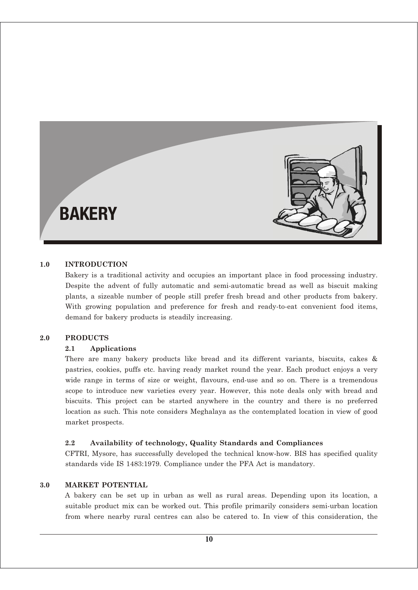# **BAKERY**

#### **1.0 INTRODUCTION**

Bakery is a traditional activity and occupies an important place in food processing industry. Despite the advent of fully automatic and semi-automatic bread as well as biscuit making plants, a sizeable number of people still prefer fresh bread and other products from bakery. With growing population and preference for fresh and ready-to-eat convenient food items, demand for bakery products is steadily increasing.

#### **2.0 PRODUCTS**

#### **2.1 Applications**

There are many bakery products like bread and its different variants, biscuits, cakes & pastries, cookies, puffs etc. having ready market round the year. Each product enjoys a very wide range in terms of size or weight, flavours, end-use and so on. There is a tremendous scope to introduce new varieties every year. However, this note deals only with bread and biscuits. This project can be started anywhere in the country and there is no preferred location as such. This note considers Meghalaya as the contemplated location in view of good market prospects.

#### **2.2 Availability of technology, Quality Standards and Compliances**

CFTRI, Mysore, has successfully developed the technical know-how. BIS has specified quality standards vide IS 1483:1979. Compliance under the PFA Act is mandatory.

#### **3.0 MARKET POTENTIAL**

A bakery can be set up in urban as well as rural areas. Depending upon its location, a suitable product mix can be worked out. This profile primarily considers semi-urban location from where nearby rural centres can also be catered to. In view of this consideration, the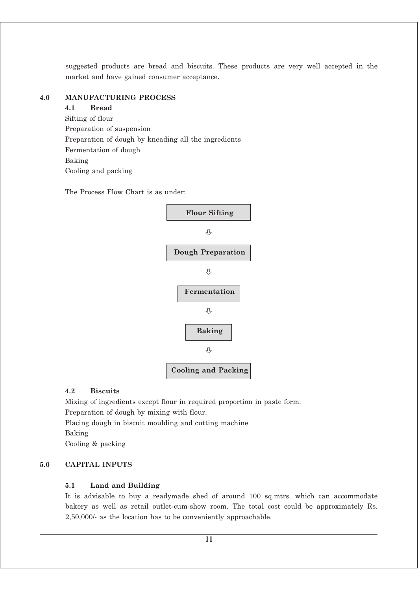suggested products are bread and biscuits. These products are very well accepted in the market and have gained consumer acceptance.

#### **4.0 MANUFACTURING PROCESS**

**4.1 Bread** Sifting of flour Preparation of suspension Preparation of dough by kneading all the ingredients Fermentation of dough Baking Cooling and packing

The Process Flow Chart is as under:



#### **4.2 Biscuits**

Mixing of ingredients except flour in required proportion in paste form.

Preparation of dough by mixing with flour.

Placing dough in biscuit moulding and cutting machine

Baking

Cooling & packing

# **5.0 CAPITAL INPUTS**

# **5.1 Land and Building**

It is advisable to buy a readymade shed of around 100 sq.mtrs. which can accommodate bakery as well as retail outlet-cum-show room. The total cost could be approximately Rs. 2,50,000/- as the location has to be conveniently approachable.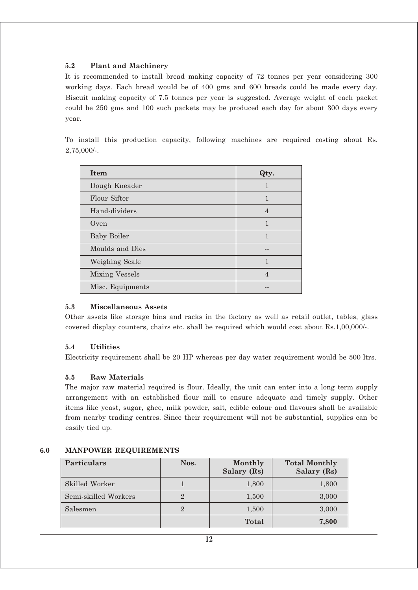# **5.2 Plant and Machinery**

It is recommended to install bread making capacity of 72 tonnes per year considering 300 working days. Each bread would be of 400 gms and 600 breads could be made every day. Biscuit making capacity of 7.5 tonnes per year is suggested. Average weight of each packet could be 250 gms and 100 such packets may be produced each day for about 300 days every year.

To install this production capacity, following machines are required costing about Rs. 2,75,000/-.

| <b>Item</b>           | Qty.           |
|-----------------------|----------------|
| Dough Kneader         | 1              |
| Flour Sifter          | $\mathbf{1}$   |
| Hand-dividers         | $\overline{4}$ |
| Oven                  | $\mathbf{1}$   |
| <b>Baby Boiler</b>    | $\mathbf{1}$   |
| Moulds and Dies       |                |
| Weighing Scale        | 1              |
| <b>Mixing Vessels</b> | 4              |
| Misc. Equipments      |                |

# **5.3 Miscellaneous Assets**

Other assets like storage bins and racks in the factory as well as retail outlet, tables, glass covered display counters, chairs etc. shall be required which would cost about Rs.1,00,000/-.

# **5.4 Utilities**

Electricity requirement shall be 20 HP whereas per day water requirement would be 500 ltrs.

# **5.5 Raw Materials**

The major raw material required is flour. Ideally, the unit can enter into a long term supply arrangement with an established flour mill to ensure adequate and timely supply. Other items like yeast, sugar, ghee, milk powder, salt, edible colour and flavours shall be available from nearby trading centres. Since their requirement will not be substantial, supplies can be easily tied up.

| <b>Particulars</b>   | Nos. | Monthly<br>Salary (Rs) | <b>Total Monthly</b><br>Salary (Rs) |
|----------------------|------|------------------------|-------------------------------------|
| Skilled Worker       |      | 1,800                  | 1,800                               |
| Semi-skilled Workers |      | 1,500                  | 3,000                               |
| Salesmen             |      | 1,500                  | 3,000                               |
|                      |      | Total                  | 7,800                               |

# **6.0 MANPOWER REQUIREMENTS**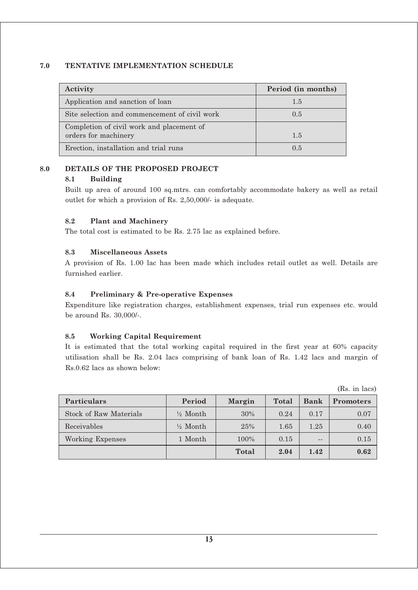#### **7.0 TENTATIVE IMPLEMENTATION SCHEDULE**

| Activity                                                          | Period (in months) |
|-------------------------------------------------------------------|--------------------|
| Application and sanction of loan                                  | 1.5                |
| Site selection and commencement of civil work                     | 0.5                |
| Completion of civil work and placement of<br>orders for machinery | 1.5                |
| Erection, installation and trial runs                             | 0.5                |

#### **8.0 DETAILS OF THE PROPOSED PROJECT**

#### **8.1 Building**

Built up area of around 100 sq.mtrs. can comfortably accommodate bakery as well as retail outlet for which a provision of Rs. 2,50,000/- is adequate.

#### **8.2 Plant and Machinery**

The total cost is estimated to be Rs. 2.75 lac as explained before.

#### **8.3 Miscellaneous Assets**

A provision of Rs. 1.00 lac has been made which includes retail outlet as well. Details are furnished earlier.

# **8.4 Preliminary & Pre-operative Expenses**

Expenditure like registration charges, establishment expenses, trial run expenses etc. would be around Rs. 30,000/-.

# **8.5 Working Capital Requirement**

It is estimated that the total working capital required in the first year at 60% capacity utilisation shall be Rs. 2.04 lacs comprising of bank loan of Rs. 1.42 lacs and margin of Rs.0.62 lacs as shown below:

|                        |                     |        |       |      | $100.$ III IQUD  |
|------------------------|---------------------|--------|-------|------|------------------|
| <b>Particulars</b>     | Period              | Margin | Total | Bank | <b>Promoters</b> |
| Stock of Raw Materials | $\frac{1}{2}$ Month | 30%    | 0.24  | 0.17 | 0.07             |
| Receivables            | $\frac{1}{2}$ Month | 25%    | 1.65  | 1.25 | 0.40             |
| Working Expenses       | 1 Month             | 100%   | 0.15  | $ -$ | 0.15             |
|                        |                     | Total  | 2.04  | 1.42 | 0.62             |

 $(Re \text{ in } \text{lace})$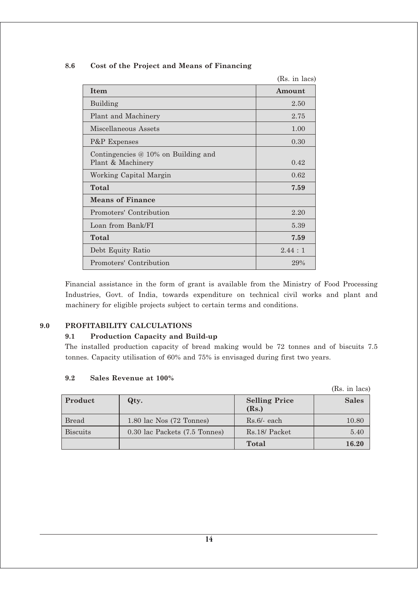|                                                            | (Rs. in lacs) |
|------------------------------------------------------------|---------------|
| <b>Item</b>                                                | Amount        |
| Building                                                   | 2.50          |
| Plant and Machinery                                        | 2.75          |
| Miscellaneous Assets                                       | 1.00          |
| P&P Expenses                                               | 0.30          |
| Contingencies $@10\%$ on Building and<br>Plant & Machinery | 0.42          |
| Working Capital Margin                                     | 0.62          |
| Total                                                      | 7.59          |
| <b>Means of Finance</b>                                    |               |
| Promoters' Contribution                                    | 2.20          |
| Loan from Bank/FI                                          | 5.39          |
| Total                                                      | 7.59          |
| Debt Equity Ratio                                          | 2.44:1        |
| Promoters' Contribution                                    | 29%           |

#### **8.6 Cost of the Project and Means of Financing**

Financial assistance in the form of grant is available from the Ministry of Food Processing Industries, Govt. of India, towards expenditure on technical civil works and plant and machinery for eligible projects subject to certain terms and conditions.

# **9.0 PROFITABILITY CALCULATIONS**

# **9.1 Production Capacity and Build-up**

The installed production capacity of bread making would be 72 tonnes and of biscuits 7.5 tonnes. Capacity utilisation of 60% and 75% is envisaged during first two years.

|                 |                               |                               | (Rs. in lacs) |
|-----------------|-------------------------------|-------------------------------|---------------|
| Product         | Qty.                          | <b>Selling Price</b><br>(Rs.) | <b>Sales</b>  |
| <b>Bread</b>    | 1.80 lac Nos (72 Tonnes)      | $Rs.6/-$ each                 | 10.80         |
| <b>Biscuits</b> | 0.30 lac Packets (7.5 Tonnes) | Rs.18/ Packet                 | 5.40          |
|                 |                               | <b>Total</b>                  | 16.20         |

#### **9.2 Sales Revenue at 100%**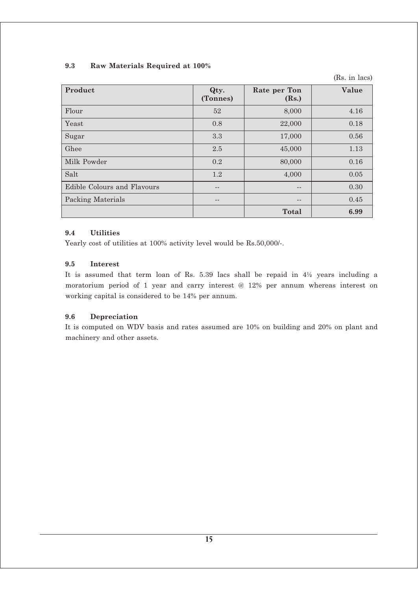# **9.3 Raw Materials Required at 100%**

(Rs. in lacs)

| <b>Product</b>              | Qty.<br>(Tonnes) | Rate per Ton<br>(Rs.) | Value |
|-----------------------------|------------------|-----------------------|-------|
| Flour                       | 52               | 8,000                 | 4.16  |
| Yeast                       | 0.8              | 22,000                | 0.18  |
| Sugar                       | 3.3              | 17,000                | 0.56  |
| Ghee                        | 2.5              | 45,000                | 1.13  |
| Milk Powder                 | 0.2              | 80,000                | 0.16  |
| Salt                        | 1.2              | 4,000                 | 0.05  |
| Edible Colours and Flavours | --               |                       | 0.30  |
| Packing Materials           | --               |                       | 0.45  |
|                             |                  | Total                 | 6.99  |

#### **9.4 Utilities**

Yearly cost of utilities at 100% activity level would be Rs.50,000/-.

#### **9.5 Interest**

It is assumed that term loan of Rs. 5.39 lacs shall be repaid in 4½ years including a moratorium period of 1 year and carry interest @ 12% per annum whereas interest on working capital is considered to be 14% per annum.

#### **9.6 Depreciation**

It is computed on WDV basis and rates assumed are 10% on building and 20% on plant and machinery and other assets.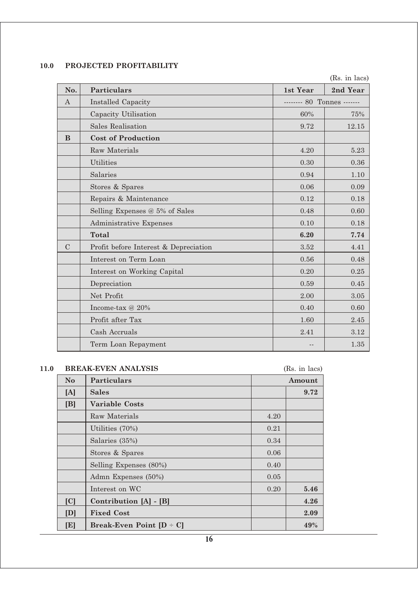# **10.0 PROJECTED PROFITABILITY**

(Rs. in lacs)

| No.              | <b>Particulars</b>                    | 1st Year                  | 2nd Year |
|------------------|---------------------------------------|---------------------------|----------|
| $\boldsymbol{A}$ | <b>Installed Capacity</b>             | ------- 80 Tonnes ------- |          |
|                  | Capacity Utilisation                  | 60%                       | 75%      |
|                  | <b>Sales Realisation</b>              | 9.72                      | 12.15    |
| B                | <b>Cost of Production</b>             |                           |          |
|                  | Raw Materials                         | 4.20                      | 5.23     |
|                  | <b>Utilities</b>                      | 0.30                      | 0.36     |
|                  | Salaries                              | 0.94                      | 1.10     |
|                  | Stores & Spares                       | 0.06                      | 0.09     |
|                  | Repairs & Maintenance                 | 0.12                      | 0.18     |
|                  | Selling Expenses @ 5% of Sales        | 0.48                      | 0.60     |
|                  | Administrative Expenses               | 0.10                      | 0.18     |
|                  | Total                                 | 6.20                      | 7.74     |
| $\mathcal{C}$    | Profit before Interest & Depreciation | 3.52                      | 4.41     |
|                  | Interest on Term Loan                 | 0.56                      | 0.48     |
|                  | Interest on Working Capital           | 0.20                      | $0.25\,$ |
|                  | Depreciation                          | 0.59                      | $0.45\,$ |
|                  | Net Profit                            | 2.00                      | 3.05     |
|                  | Income-tax @ 20%                      | 0.40                      | 0.60     |
|                  | Profit after Tax                      | 1.60                      | 2.45     |
|                  | Cash Accruals                         | 2.41                      | 3.12     |
|                  | Term Loan Repayment                   |                           | $1.35\,$ |

# **11.0 BREAK-EVEN ANALYSIS** (Rs. in lacs)

| N <sub>o</sub> | Particulars                                  | Amount |      |
|----------------|----------------------------------------------|--------|------|
| [A]            | <b>Sales</b>                                 | 9.72   |      |
| [B]            | <b>Variable Costs</b>                        |        |      |
|                | Raw Materials                                | 4.20   |      |
|                | Utilities $(70%)$                            | 0.21   |      |
|                | Salaries (35%)                               | 0.34   |      |
|                | Stores & Spares                              | 0.06   |      |
|                | Selling Expenses (80%)                       | 0.40   |      |
|                | Admn Expenses (50%)                          | 0.05   |      |
|                | Interest on WC                               | 0.20   | 5.46 |
| [C]            | Contribution [A] - [B]                       |        | 4.26 |
| [D]            | <b>Fixed Cost</b>                            |        | 2.09 |
| [E]            | <b>Break-Even Point <math>[D - C]</math></b> |        | 49%  |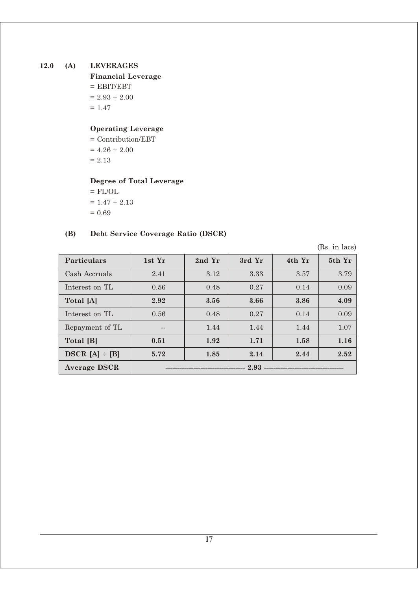# **12.0 (A) LEVERAGES**

**Financial Leverage**  $=$  EBIT/EBT  $= 2.93 \div 2.00$  $= 1.47$ 

# **Operating Leverage**

= Contribution/EBT  $= 4.26 \div 2.00$  $= 2.13$ 

# **Degree of Total Leverage**

 $=$  FL/OL  $\,$  $= 1.47 \div 2.13$  $= 0.69$ 

# **(B) Debt Service Coverage Ratio (DSCR)**

(Rs. in lacs)

| <b>Particulars</b>  | 1st Yr | 2nd Yr | 3rd Yr | 4th Yr | 5th Yr |
|---------------------|--------|--------|--------|--------|--------|
| Cash Accruals       | 2.41   | 3.12   | 3.33   | 3.57   | 3.79   |
| Interest on TL      | 0.56   | 0.48   | 0.27   | 0.14   | 0.09   |
| Total [A]           | 2.92   | 3.56   | 3.66   | 3.86   | 4.09   |
| Interest on TL      | 0.56   | 0.48   | 0.27   | 0.14   | 0.09   |
| Repayment of TL     | --     | 1.44   | 1.44   | 1.44   | 1.07   |
| Total [B]           | 0.51   | 1.92   | 1.71   | 1.58   | 1.16   |
| DSCR $[A]$ ÷ $[B]$  | 5.72   | 1.85   | 2.14   | 2.44   | 2.52   |
| <b>Average DSCR</b> | 2.93   |        |        |        |        |